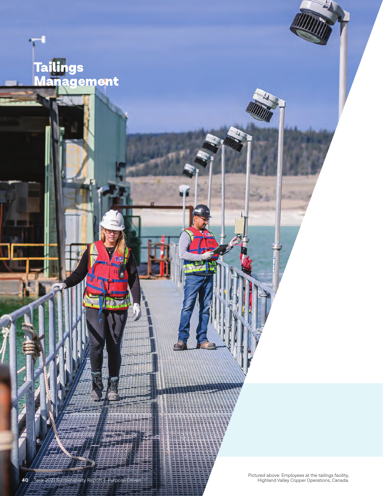# Tailings Management

Pictured above: Employees at the tailings facility,

**40** Teck 2021 Sustainability Report | Purpose Driven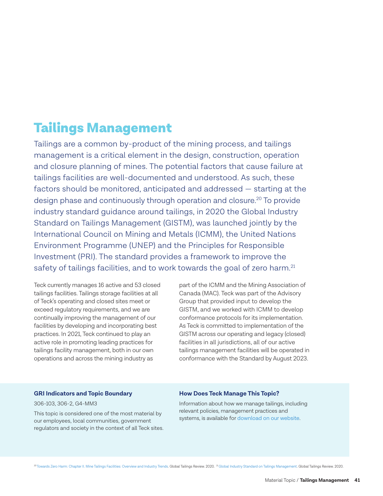## Tailings Management

Tailings are a common by-product of the mining process, and tailings management is a critical element in the design, construction, operation and closure planning of mines. The potential factors that cause failure at tailings facilities are well-documented and understood. As such, these factors should be monitored, anticipated and addressed — starting at the design phase and continuously through operation and closure.<sup>20</sup> To provide industry standard guidance around tailings, in 2020 the Global Industry Standard on Tailings Management (GISTM), was launched jointly by the International Council on Mining and Metals (ICMM), the United Nations Environment Programme (UNEP) and the Principles for Responsible Investment (PRI). The standard provides a framework to improve the safety of tailings facilities, and to work towards the goal of zero harm.<sup>21</sup>

Teck currently manages 16 active and 53 closed tailings facilities. Tailings storage facilities at all of Teck's operating and closed sites meet or exceed regulatory requirements, and we are continually improving the management of our facilities by developing and incorporating best practices. In 2021, Teck continued to play an active role in promoting leading practices for tailings facility management, both in our own operations and across the mining industry as

part of the ICMM and the Mining Association of Canada (MAC). Teck was part of the Advisory Group that provided input to develop the GISTM, and we worked with ICMM to develop conformance protocols for its implementation. As Teck is committed to implementation of the GISTM across our operating and legacy (closed) facilities in all jurisdictions, all of our active tailings management facilities will be operated in conformance with the Standard by August 2023.

#### **GRI Indicators and Topic Boundary**

306-103, 306-2, G4-MM3

This topic is considered one of the most material by our employees, local communities, government regulators and society in the context of all Teck sites.

#### **How Does Teck Manage This Topic?**

Information about how we manage tailings, including relevant policies, management practices and systems, is available for [download on our website.](https://www.teck.com/media/Teck_Approach_to_Tailings_Management_2021.pdf) 

20 [Towards Zero Harm: Chapter II. Mine Tailings Facilities: Overview and Industry Trends.](https://globaltailingsreview.org/wp-content/uploads/2020/08/towards-zero-harm.pdf) Global Tailings Review. 2020. <sup>21</sup> Global Industry Standard on Tailings Management. Global Tailings Review. 2020.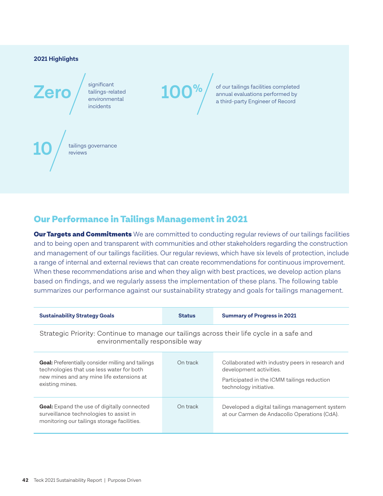#### **2021 Highlights**

significant tailings-related environmental incidents

**Zero**  $\left/ \begin{array}{c} \text{sigmoid} \\ \text{tailings-related} \\ \text{environmental} \end{array} \right.$  **100%** of our tailings facilities completed<br>annual evaluations performed by<br>a third-party Engineer of Record annual evaluations performed by a third-party Engineer of Record

tailings governance **10** reviews

### Our Performance in Tailings Management in 2021

**Our Targets and Commitments** We are committed to conducting regular reviews of our tailings facilities and to being open and transparent with communities and other stakeholders regarding the construction and management of our tailings facilities. Our regular reviews, which have six levels of protection, include a range of internal and external reviews that can create recommendations for continuous improvement. When these recommendations arise and when they align with best practices, we develop action plans based on findings, and we regularly assess the implementation of these plans. The following table summarizes our performance against our sustainability strategy and goals for tailings management.

**100%**

| <b>Sustainability Strategy Goals</b>                                                                                                                            | <b>Status</b> | <b>Summary of Progress in 2021</b>                                                                                                                   |  |  |  |  |
|-----------------------------------------------------------------------------------------------------------------------------------------------------------------|---------------|------------------------------------------------------------------------------------------------------------------------------------------------------|--|--|--|--|
| Strategic Priority: Continue to manage our tailings across their life cycle in a safe and<br>environmentally responsible way                                    |               |                                                                                                                                                      |  |  |  |  |
| Goal: Preferentially consider milling and tailings<br>technologies that use less water for both<br>new mines and any mine life extensions at<br>existing mines. | On track      | Collaborated with industry peers in research and<br>development activities.<br>Participated in the ICMM tailings reduction<br>technology initiative. |  |  |  |  |
| <b>Goal:</b> Expand the use of digitally connected<br>surveillance technologies to assist in<br>monitoring our tailings storage facilities.                     | On track      | Developed a digital tailings management system<br>at our Carmen de Andacollo Operations (CdA).                                                       |  |  |  |  |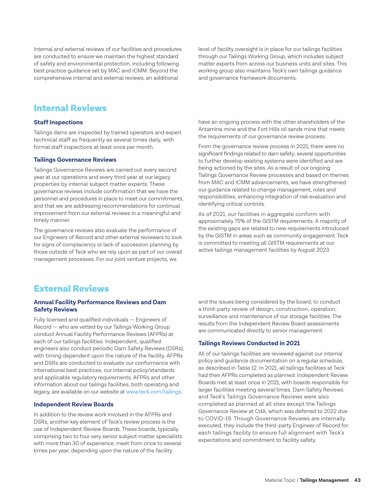Internal and external reviews of our facilities and procedures are conducted to ensure we maintain the highest standard of safety and environmental protection, including following best practice guidance set by MAC and ICMM. Beyond the comprehensive internal and external reviews, an additional

level of facility oversight is in place for our tailings facilities through our Tailings Working Group, which includes subject matter experts from across our business units and sites. This working group also maintains Teck's own tailings guidance and governance framework documents.

### Internal Reviews

#### **Staff Inspections**

Tailings dams are inspected by trained operators and expert technical staff as frequently as several times daily, with formal staff inspections at least once per month.

#### **Tailings Governance Reviews**

Tailings Governance Reviews are carried out every second year at our operations and every third year at our legacy properties by internal subject matter experts. These governance reviews include confirmation that we have the personnel and procedures in place to meet our commitments, and that we are addressing recommendations for continual improvement from our external reviews in a meaningful and timely manner.

The governance reviews also evaluate the performance of our Engineers of Record and other external reviewers to look for signs of complacency or lack of succession planning by those outside of Teck who we rely upon as part of our overall management processes. For our joint venture projects, we

have an ongoing process with the other shareholders of the Antamina mine and the Fort Hills oil sands mine that meets the requirements of our governance review process.

From the governance review process in 2021, there were no significant findings related to dam safety; several opportunities to further develop existing systems were identified and are being actioned by the sites. As a result of our ongoing Tailings Governance Review processes and based on themes from MAC and ICMM advancements, we have strengthened our guidance related to change management, roles and responsibilities, enhancing integration of risk evaluation and identifying critical controls.

As of 2021, our facilities in aggregate conform with approximately 75% of the GISTM requirements. A majority of the existing gaps are related to new requirements introduced by the GISTM in areas such as community engagement. Teck is committed to meeting all GISTM requirements at our active tailings management facilities by August 2023.

### External Reviews

#### **Annual Facility Performance Reviews and Dam Safety Reviews**

Fully licensed and qualified individuals — Engineers of Record — who are vetted by our Tailings Working Group conduct Annual Facility Performance Reviews (AFPRs) at each of our tailings facilities. Independent, qualified engineers also conduct periodic Dam Safety Reviews (DSRs), with timing dependent upon the nature of the facility. AFPRs and DSRs are conducted to evaluate our conformance with international best practices, our internal policy/standards and applicable regulatory requirements. AFPRs and other information about our tailings facilities, both operating and legacy, are available on our website at [www.teck.com/tailings](http://www.teck.com/tailings).

#### **Independent Review Boards**

In addition to the review work involved in the AFPRs and DSRs, another key element of Teck's review process is the use of Independent Review Boards. These boards, typically comprising two to four very senior subject matter specialists with more than 30 of experience, meet from once to several times per year, depending upon the nature of the facility

and the issues being considered by the board, to conduct a third-party review of design, construction, operation, surveillance and maintenance of our storage facilities. The results from the Independent Review Board assessments are communicated directly to senior management.

#### **Tailings Reviews Conducted in 2021**

All of our tailings facilities are reviewed against our internal policy and guidance documentation on a regular schedule, as described in [Table 12.](#page-4-0) In 2021, all tailings facilities at Teck had their AFPRs completed as planned. Independent Review Boards met at least once in 2021, with boards responsible for larger facilities meeting several times. Dam Safety Reviews and Teck's Tailings Governance Reviews were also completed as planned at all sites except the Tailings Governance Review at CdA, which was deferred to 2022 due to COVID-19. Though Governance Reviews are internally executed, they include the third-party Engineer of Record for each tailings facility to ensure full alignment with Teck's expectations and commitment to facility safety.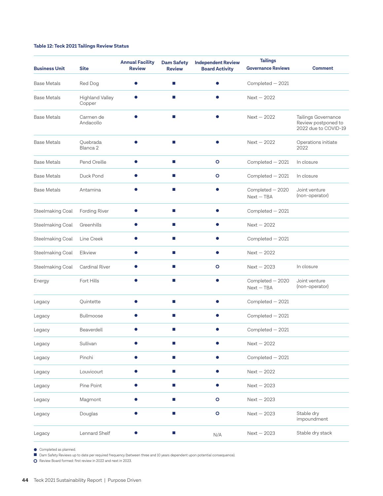#### <span id="page-4-0"></span>**Table 12: Teck 2021 Tailings Review Status**

| <b>Business Unit</b> | <b>Site</b>                      | <b>Annual Facility</b><br><b>Review</b> | <b>Dam Safety</b><br><b>Review</b> | <b>Independent Review</b><br><b>Board Activity</b> | <b>Tailings</b><br><b>Governance Reviews</b> | <b>Comment</b>                                                     |
|----------------------|----------------------------------|-----------------------------------------|------------------------------------|----------------------------------------------------|----------------------------------------------|--------------------------------------------------------------------|
| <b>Base Metals</b>   | Red Dog                          | ●                                       | m.                                 | O                                                  | Completed - 2021                             |                                                                    |
| Base Metals          | <b>Highland Valley</b><br>Copper |                                         | m.                                 |                                                    | $Next - 2022$                                |                                                                    |
| <b>Base Metals</b>   | Carmen de<br>Andacollo           |                                         | m.                                 |                                                    | $Next - 2022$                                | Tailings Governance<br>Review postponed to<br>2022 due to COVID-19 |
| <b>Base Metals</b>   | Quebrada<br>Blanca <sub>2</sub>  |                                         | m.                                 | $\bullet$                                          | $Next - 2022$                                | Operations initiate<br>2022                                        |
| <b>Base Metals</b>   | Pend Oreille                     |                                         | H.                                 | $\circ$                                            | Completed - 2021                             | In closure                                                         |
| <b>Base Metals</b>   | Duck Pond                        |                                         | $\mathcal{L}_{\mathcal{A}}$        | $\circ$                                            | Completed - 2021                             | In closure                                                         |
| <b>Base Metals</b>   | Antamina                         |                                         | ×.                                 |                                                    | Completed - 2020<br>$Next - TBA$             | Joint venture<br>(non-operator)                                    |
| Steelmaking Coal     | Fording River                    |                                         | H.                                 |                                                    | Completed - 2021                             |                                                                    |
| Steelmaking Coal     | Greenhills                       |                                         | m.                                 | 0                                                  | $Next - 2022$                                |                                                                    |
| Steelmaking Coal     | Line Creek                       |                                         | п                                  | $\bullet$                                          | Completed - 2021                             |                                                                    |
| Steelmaking Coal     | Elkview                          |                                         | <b>COL</b>                         |                                                    | $Next - 2022$                                |                                                                    |
| Steelmaking Coal     | Cardinal River                   |                                         | <b>COL</b>                         | O                                                  | $Next - 2023$                                | In closure                                                         |
| Energy               | Fort Hills                       |                                         | m.                                 | $\bullet$                                          | Completed - 2020<br>Next - TBA               | Joint venture<br>(non-operator)                                    |
| Legacy               | Quintette                        |                                         | H.                                 | ●                                                  | Completed - 2021                             |                                                                    |
| Legacy               | Bullmoose                        |                                         | m.                                 | $\bullet$                                          | Completed - 2021                             |                                                                    |
| Legacy               | Beaverdell                       |                                         | ш                                  |                                                    | Completed - 2021                             |                                                                    |
| Legacy               | Sullivan                         | $\bullet$                               | $\mathcal{L}_{\mathcal{A}}$        | $\bullet$                                          | $Next - 2022$                                |                                                                    |
| Legacy               | Pinchi                           | $\bullet$                               | $\mathcal{C}$                      | $\bullet$                                          | Completed - 2021                             |                                                                    |
| Legacy               | Louvicourt                       | $\bullet$                               | ×.                                 | $\bullet$                                          | $Next - 2022$                                |                                                                    |
| Legacy               | Pine Point                       | $\bullet$                               | $\mathcal{C}$                      | $\bullet$                                          | $Next - 2023$                                |                                                                    |
| Legacy               | Magmont                          | $\bullet$                               | $\mathcal{L}_{\mathcal{A}}$        | $\circ$                                            | $Next - 2023$                                |                                                                    |
| Legacy               | Douglas                          | $\bullet$                               | $\mathcal{C}$                      | $\circ$                                            | $Next - 2023$                                | Stable dry<br>impoundment                                          |
| Legacy               | Lennard Shelf                    |                                         | u,                                 | N/A                                                | $Next - 2023$                                | Stable dry stack                                                   |

● Completed as planned.

■ Dam Safety Reviews up to date per required frequency (between three and 10 years dependent upon potential consequence).

O Review Board formed: first review in 2022 and next in 2023.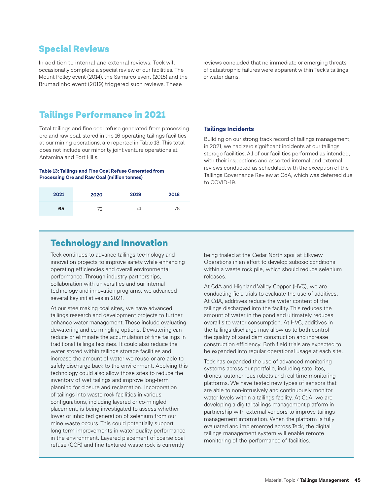### Special Reviews

In addition to internal and external reviews, Teck will occasionally complete a special review of our facilities. The Mount Polley event (2014), the Samarco event (2015) and the Brumadinho event (2019) triggered such reviews. These

reviews concluded that no immediate or emerging threats of catastrophic failures were apparent within Teck's tailings or water dams.

### Tailings Performance in 2021

Total tailings and fine coal refuse generated from processing ore and raw coal, stored in the 16 operating tailings facilities at our mining operations, are reported in Table 13. This total does not include our minority joint venture operations at Antamina and Fort Hills.

**Table 13: Tailings and Fine Coal Refuse Generated from Processing Ore and Raw Coal (million tonnes)**

| 2021 | 2020 | 2019 | 2018 |
|------|------|------|------|
| 65   |      | 7Δ   | 76   |

#### **Tailings Incidents**

Building on our strong track record of tailings management, in 2021, we had zero significant incidents at our tailings storage facilities. All of our facilities performed as intended, with their inspections and assorted internal and external reviews conducted as scheduled, with the exception of the Tailings Governance Review at CdA, which was deferred due to COVID-19.

### Technology and Innovation

Teck continues to advance tailings technology and innovation projects to improve safety while enhancing operating efficiencies and overall environmental performance. Through industry partnerships, collaboration with universities and our internal technology and innovation programs, we advanced several key initiatives in 2021.

At our steelmaking coal sites, we have advanced tailings research and development projects to further enhance water management. These include evaluating dewatering and co-mingling options. Dewatering can reduce or eliminate the accumulation of fine tailings in traditional tailings facilities. It could also reduce the water stored within tailings storage facilities and increase the amount of water we reuse or are able to safely discharge back to the environment. Applying this technology could also allow those sites to reduce the inventory of wet tailings and improve long-term planning for closure and reclamation. Incorporation of tailings into waste rock facilities in various configurations, including layered or co-mingled placement, is being investigated to assess whether lower or inhibited generation of selenium from our mine waste occurs. This could potentially support long-term improvements in water quality performance in the environment. Layered placement of coarse coal refuse (CCR) and fine textured waste rock is currently

being trialed at the Cedar North spoil at Elkview Operations in an effort to develop suboxic conditions within a waste rock pile, which should reduce selenium releases.

At CdA and Highland Valley Copper (HVC), we are conducting field trials to evaluate the use of additives. At CdA, additives reduce the water content of the tailings discharged into the facility. This reduces the amount of water in the pond and ultimately reduces overall site water consumption. At HVC, additives in the tailings discharge may allow us to both control the quality of sand dam construction and increase construction efficiency. Both field trials are expected to be expanded into regular operational usage at each site.

Teck has expanded the use of advanced monitoring systems across our portfolio, including satellites, drones, autonomous robots and real-time monitoring platforms. We have tested new types of sensors that are able to non-intrusively and continuously monitor water levels within a tailings facility. At CdA, we are developing a digital tailings management platform in partnership with external vendors to improve tailings management information. When the platform is fully evaluated and implemented across Teck, the digital tailings management system will enable remote monitoring of the performance of facilities.